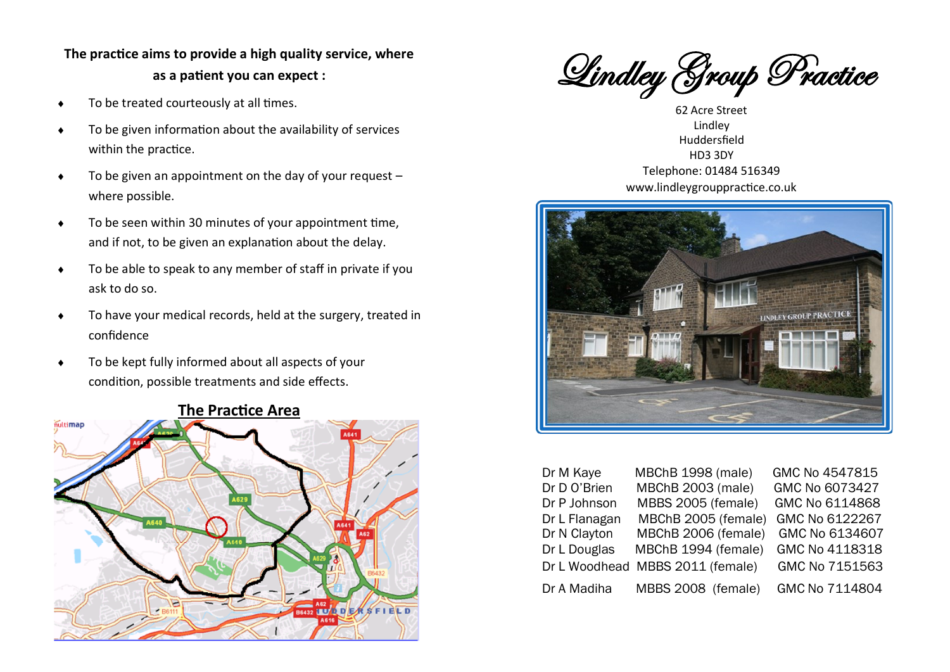# **The practice aims to provide a high quality service, where as a patient you can expect :**

- $\bullet$  To be treated courteously at all times.
- To be given information about the availability of services within the practice.
- $\bullet$  To be given an appointment on the day of your request  $$ where possible.
- To be seen within 30 minutes of your appointment time, and if not, to be given an explanation about the delay.
- ◆ To be able to speak to any member of staff in private if you ask to do so.
- To have your medical records, held at the surgery, treated in confidence
- To be kept fully informed about all aspects of your condition, possible treatments and side effects.



#### **The Practice Area**

Lindley Group Practice

S<br>le<br>rs 62 Acre Street Lindley Huddersfield HD3 3DY Telephone: 01484 516349 www.lindleygrouppractice.co.uk



| Dr M Kaye     | <b>MBChB 1998 (male)</b>         | GMC No 4547815 |
|---------------|----------------------------------|----------------|
| Dr D O'Brien  | MBChB 2003 (male)                | GMC No 6073427 |
| Dr P Johnson  | MBBS 2005 (female)               | GMC No 6114868 |
| Dr L Flanagan | MBChB 2005 (female)              | GMC No 6122267 |
| Dr N Clayton  | MBChB 2006 (female)              | GMC No 6134607 |
| Dr L Douglas  | MBChB 1994 (female)              | GMC No 4118318 |
|               | Dr L Woodhead MBBS 2011 (female) | GMC No 7151563 |
| Dr A Madiha   | MBBS 2008 (female)               | GMC No 7114804 |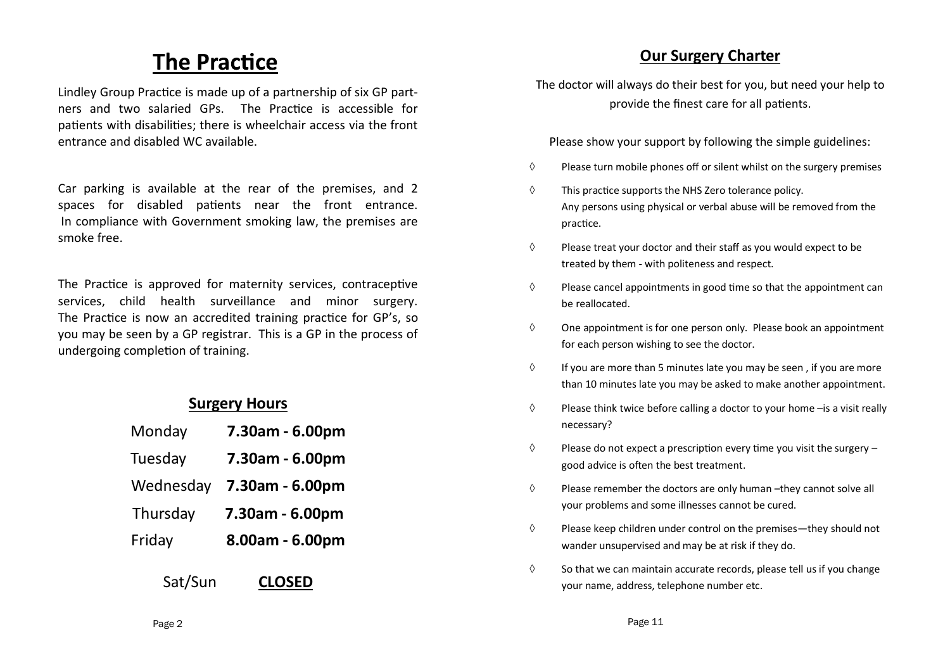# **The Practice**

Lindley Group Practice is made up of a partnership of six GP partners and two salaried GPs. The Practice is accessible for patients with disabilities; there is wheelchair access via the front entrance and disabled WC available.

Car parking is available at the rear of the premises, and 2 spaces for disabled patients near the front entrance. In compliance with Government smoking law, the premises are smoke free.

The Practice is approved for maternity services, contraceptive services, child health surveillance and minor surgery. The Practice is now an accredited training practice for GP's, so you may be seen by a GP registrar. This is a GP in the process of undergoing completion of training.

### **Surgery Hours**

| Monday    | 7.30am - 6.00pm |
|-----------|-----------------|
| Tuesday   | 7.30am - 6.00pm |
| Wednesday | 7.30am - 6.00pm |
| Thursday  | 7.30am - 6.00pm |
| Friday    | 8.00am - 6.00pm |
|           |                 |

Sat/Sun **CLOSED** 

### **Our Surgery Charter**

The doctor will always do their best for you, but need your help to provide the finest care for all patients.

Please show your support by following the simple guidelines:

- $\Diamond$  Please turn mobile phones off or silent whilst on the surgery premises
- $\Diamond$  This practice supports the NHS Zero tolerance policy. Any persons using physical or verbal abuse will be removed from the practice.
- $\Diamond$  Please treat your doctor and their staff as you would expect to be treated by them - with politeness and respect.
- $\Diamond$  Please cancel appointments in good time so that the appointment can be reallocated.
- $\Diamond$  One appointment is for one person only. Please book an appointment for each person wishing to see the doctor.
- $\Diamond$  If you are more than 5 minutes late you may be seen, if you are more than 10 minutes late you may be asked to make another appointment.
- $\Diamond$  Please think twice before calling a doctor to your home  $-i$ s a visit really necessary?
- $\Diamond$  Please do not expect a prescription every time you visit the surgery good advice is often the best treatment.
- $\Diamond$  Please remember the doctors are only human –they cannot solve all your problems and some illnesses cannot be cured.
- $\Diamond$  Please keep children under control on the premises—they should not wander unsupervised and may be at risk if they do.
- $\Diamond$  So that we can maintain accurate records, please tell us if you change your name, address, telephone number etc.

Page 2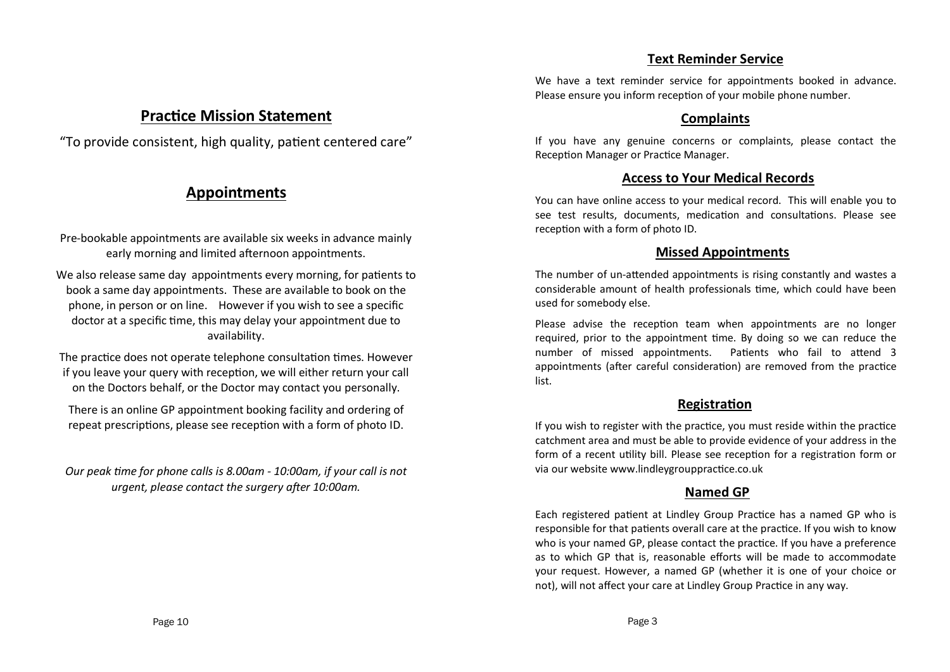#### **Text Reminder Service**

### **Practice Mission Statement**

"To provide consistent, high quality, patient centered care"

### **Appointments**

- Pre-bookable appointments are available six weeks in advance mainly early morning and limited afternoon appointments.
- We also release same day appointments every morning, for patients to book a same day appointments. These are available to book on the phone, in person or on line. However if you wish to see a specific doctor at a specific time, this may delay your appointment due to availability.
- The practice does not operate telephone consultation times. However if you leave your query with reception, we will either return your call on the Doctors behalf, or the Doctor may contact you personally.
- There is an online GP appointment booking facility and ordering of repeat prescriptions, please see reception with a form of photo ID.
- *Our peak time for phone calls is 8.00am - 10:00am, if your call is not urgent, please contact the surgery after 10:00am.*

We have a text reminder service for appointments booked in advance. Please ensure you inform reception of your mobile phone number.

#### **Complaints**

If you have any genuine concerns or complaints, please contact the Reception Manager or Practice Manager.

#### **Access to Your Medical Records**

You can have online access to your medical record. This will enable you to see test results, documents, medication and consultations. Please see reception with a form of photo ID.

#### **Missed Appointments**

The number of un-attended appointments is rising constantly and wastes a considerable amount of health professionals time, which could have been used for somebody else.

Please advise the reception team when appointments are no longer required, prior to the appointment time. By doing so we can reduce the number of missed appointments. Patients who fail to attend 3 appointments (after careful consideration) are removed from the practice list.

#### **Registration**

If you wish to register with the practice, you must reside within the practice catchment area and must be able to provide evidence of your address in the form of a recent utility bill. Please see reception for a registration form or via our website www.lindleygrouppractice.co.uk

#### **Named GP**

Each registered patient at Lindley Group Practice has a named GP who is responsible for that patients overall care at the practice. If you wish to know who is your named GP, please contact the practice. If you have a preference as to which GP that is, reasonable efforts will be made to accommodate your request. However, a named GP (whether it is one of your choice or not), will not affect your care at Lindley Group Practice in any way.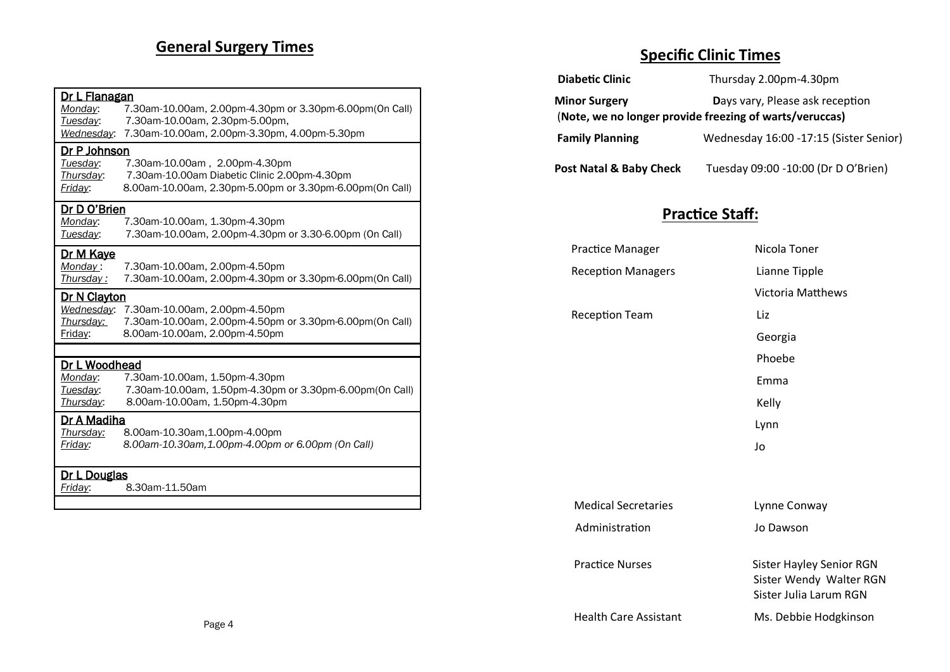# **General Surgery Times**

| Dr L Flanagan<br>Monday:<br>Tuesday: | 7.30am-10.00am, 2.00pm-4.30pm or 3.30pm-6.00pm(0n Call)<br>7.30am-10.00am, 2.30pm-5.00pm,                                                |  |  |  |
|--------------------------------------|------------------------------------------------------------------------------------------------------------------------------------------|--|--|--|
| Wednesday:                           | 7.30am-10.00am, 2.00pm-3.30pm, 4.00pm-5.30pm                                                                                             |  |  |  |
| Dr P Johnson                         |                                                                                                                                          |  |  |  |
| Tuesday:<br>Thursday:<br>Friday:     | 7.30am-10.00am, 2.00pm-4.30pm<br>7.30am-10.00am Diabetic Clinic 2.00pm-4.30pm<br>8.00am-10.00am, 2.30pm-5.00pm or 3.30pm-6.00pm(On Call) |  |  |  |
| <u>Dr D O'Brien</u>                  |                                                                                                                                          |  |  |  |
| Monday:<br>Tuesday:                  | 7.30am-10.00am, 1.30pm-4.30pm<br>7.30am-10.00am, 2.00pm-4.30pm or 3.30-6.00pm (On Call)                                                  |  |  |  |
| <u>Dr M Kave</u>                     |                                                                                                                                          |  |  |  |
| Monday:<br>Thursday:                 | 7.30am-10.00am, 2.00pm-4.50pm<br>7.30am-10.00am, 2.00pm-4.30pm or 3.30pm-6.00pm(On Call)                                                 |  |  |  |
| Dr N Clayton                         |                                                                                                                                          |  |  |  |
| Wednesday:<br>Thursdav:<br>Friday:   | 7.30am-10.00am, 2.00pm-4.50pm<br>7.30am-10.00am, 2.00pm-4.50pm or 3.30pm-6.00pm(0n Call)<br>8.00am-10.00am, 2.00pm-4.50pm                |  |  |  |
|                                      |                                                                                                                                          |  |  |  |
| Dr L Woodhead                        |                                                                                                                                          |  |  |  |
| Monday:<br>Tuesday:<br>Thursday:     | 7.30am-10.00am, 1.50pm-4.30pm<br>7.30am-10.00am, 1.50pm-4.30pm or 3.30pm-6.00pm(0n Call)<br>8.00am-10.00am, 1.50pm-4.30pm                |  |  |  |
| Dr A Madiha                          |                                                                                                                                          |  |  |  |
| Thursday:                            | 8.00am-10.30am, 1.00pm-4.00pm                                                                                                            |  |  |  |
| Friday:                              | 8.00am-10.30am,1.00pm-4.00pm or 6.00pm (On Call)                                                                                         |  |  |  |
| <u>Dr L Douglas</u>                  |                                                                                                                                          |  |  |  |
| Friday:                              | 8.30am-11.50am                                                                                                                           |  |  |  |
|                                      |                                                                                                                                          |  |  |  |

# **Specific Clinic Times**

| .                                  | ,,,,,,,,,,,, <b>,</b> ,,                                                                   |  |
|------------------------------------|--------------------------------------------------------------------------------------------|--|
| <b>Diabetic Clinic</b>             | Thursday 2.00pm-4.30pm                                                                     |  |
| <b>Minor Surgery</b>               | Days vary, Please ask reception<br>(Note, we no longer provide freezing of warts/veruccas) |  |
| <b>Family Planning</b>             | Wednesday 16:00 -17:15 (Sister Senior)                                                     |  |
| <b>Post Natal &amp; Baby Check</b> | Tuesday 09:00 -10:00 (Dr D O'Brien)                                                        |  |
|                                    | <b>Practice Staff:</b>                                                                     |  |
| <b>Practice Manager</b>            | Nicola Toner                                                                               |  |
| <b>Reception Managers</b>          | Lianne Tipple                                                                              |  |
|                                    | <b>Victoria Matthews</b>                                                                   |  |
| <b>Reception Team</b>              | Liz                                                                                        |  |
|                                    | Georgia                                                                                    |  |
|                                    | Phoebe                                                                                     |  |
|                                    | Emma                                                                                       |  |
|                                    | Kelly                                                                                      |  |
|                                    | Lynn                                                                                       |  |
|                                    | Jo                                                                                         |  |
| <b>Medical Secretaries</b>         | Lynne Conway                                                                               |  |
| Administration                     | Jo Dawson                                                                                  |  |
| <b>Practice Nurses</b>             | <b>Sister Hayley Senior RGN</b><br>Sister Wendy Walter RGN<br>Sister Julia Larum RGN       |  |
| <b>Health Care Assistant</b>       | Ms. Debbie Hodgkinson                                                                      |  |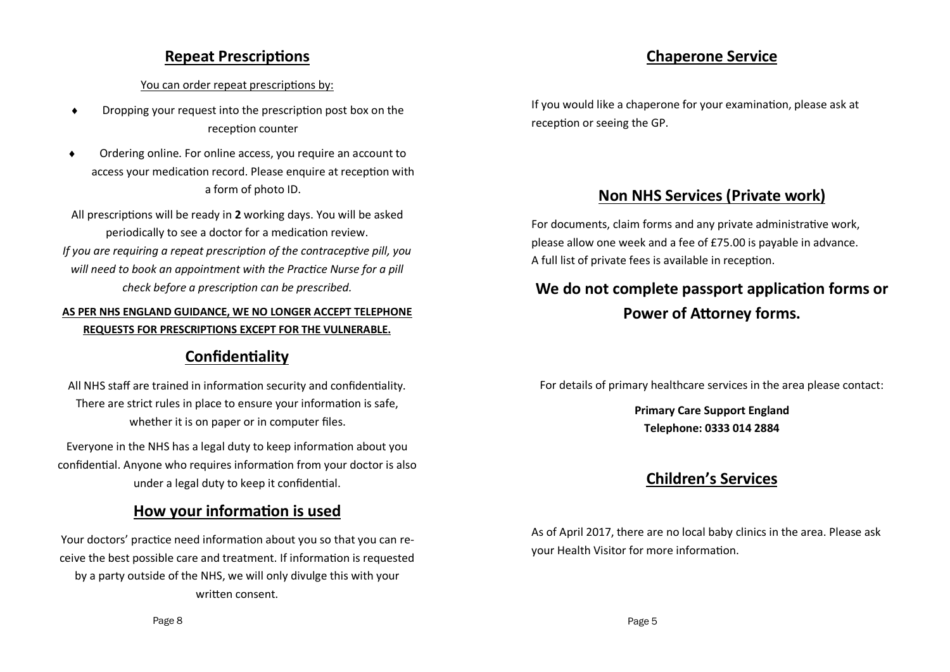### **Repeat Prescriptions**

#### You can order repeat prescriptions by:

- Dropping your request into the prescription post box on the reception counter
- Ordering online. For online access, you require an account to access your medication record. Please enquire at reception with a form of photo ID.
- All prescriptions will be ready in **2** working days. You will be asked periodically to see a doctor for a medication review. *If you are requiring a repeat prescription of the contraceptive pill, you will need to book an appointment with the Practice Nurse for a pill check before a prescription can be prescribed.*

#### **AS PER NHS ENGLAND GUIDANCE, WE NO LONGER ACCEPT TELEPHONE REQUESTS FOR PRESCRIPTIONS EXCEPT FOR THE VULNERABLE.**

# **Confidentiality**

All NHS staff are trained in information security and confidentiality. There are strict rules in place to ensure your information is safe, whether it is on paper or in computer files.

Everyone in the NHS has a legal duty to keep information about you confidential. Anyone who requires information from your doctor is also under a legal duty to keep it confidential.

# **How your information is used**

Your doctors' practice need information about you so that you can receive the best possible care and treatment. If information is requested by a party outside of the NHS, we will only divulge this with your written consent.

# **Chaperone Service**

If you would like a chaperone for your examination, please ask at reception or seeing the GP.

# **Non NHS Services (Private work)**

For documents, claim forms and any private administrative work, please allow one week and a fee of £75.00 is payable in advance. A full list of private fees is available in reception.

# **We do not complete passport application forms or Power of Attorney forms.**

For details of primary healthcare services in the area please contact:

**Primary Care Support England Telephone: 0333 014 2884**

# **Children's Services**

As of April 2017, there are no local baby clinics in the area. Please ask your Health Visitor for more information.